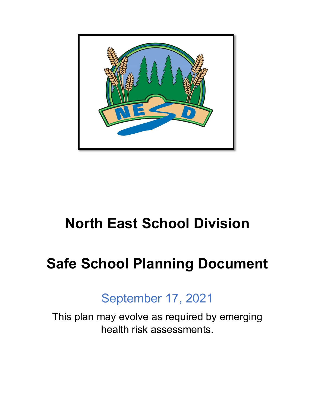

## **North East School Division**

## **Safe School Planning Document**

## September 17, 2021

This plan may evolve as required by emerging health risk assessments.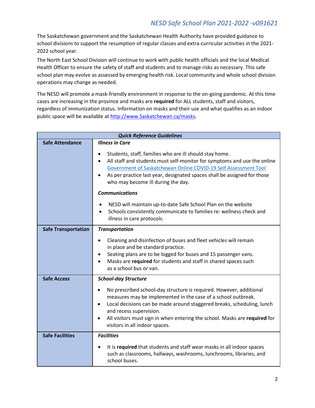The Saskatchewan government and the Saskatchewan Health Authority have provided guidance to school divisions to support the resumption of regular classes and extra-curricular activities in the 2021- 2022 school year.

The North East School Division will continue to work with public health officials and the local Medical Health Officer to ensure the safety of staff and students and to manage risks as necessary. This safe school plan may evolve as assessed by emerging health risk. Local community and whole school division operations may change as needed.

The NESD will promote a mask-friendly environment in response to the on-going pandemic. At this time cases are increasing in the province and masks are **required** for ALL students, staff and visitors, regardless of immunization status. Information on masks and their use and what qualifies as an indoor public space will be available at [http://www.Saskatchewan.ca/masks.](http://www.saskatchewan.ca/masks)

| <b>Quick Reference Guidelines</b> |                                                                                                                                                                                                                                                                                                                                                                                                  |  |
|-----------------------------------|--------------------------------------------------------------------------------------------------------------------------------------------------------------------------------------------------------------------------------------------------------------------------------------------------------------------------------------------------------------------------------------------------|--|
| <b>Safe Attendance</b>            | <b>Illness in Care</b>                                                                                                                                                                                                                                                                                                                                                                           |  |
|                                   | Students, staff, families who are ill should stay home.<br>$\bullet$<br>All staff and students must self-monitor for symptoms and use the online<br>$\bullet$<br>Government of Saskatchewan Online COVID-19 Self Assessment Tool<br>As per practice last year, designated spaces shall be assigned for those<br>who may become ill during the day.<br><b>Communications</b>                      |  |
|                                   | NESD will maintain up-to-date Safe School Plan on the website<br>$\bullet$<br>Schools consistently communicate to families re: wellness check and<br>$\bullet$<br>illness in care protocols.                                                                                                                                                                                                     |  |
| <b>Safe Transportation</b>        | <b>Transportation</b>                                                                                                                                                                                                                                                                                                                                                                            |  |
|                                   | Cleaning and disinfection of buses and fleet vehicles will remain<br>$\bullet$<br>in place and be standard practice.<br>Seating plans are to be logged for buses and 15 passenger vans.<br>$\bullet$<br>Masks are required for students and staff in shared spaces such<br>$\bullet$<br>as a school bus or van.                                                                                  |  |
| <b>Safe Access</b>                | <b>School-day Structure</b>                                                                                                                                                                                                                                                                                                                                                                      |  |
|                                   | No prescribed school-day structure is required. However, additional<br>$\bullet$<br>measures may be implemented in the case of a school outbreak.<br>Local decisions can be made around staggered breaks, scheduling, lunch<br>$\bullet$<br>and recess supervision.<br>All visitors must sign in when entering the school. Masks are required for<br>$\bullet$<br>visitors in all indoor spaces. |  |
| <b>Safe Facilities</b>            | <b>Facilities</b>                                                                                                                                                                                                                                                                                                                                                                                |  |
|                                   | It is required that students and staff wear masks in all indoor spaces<br>such as classrooms, hallways, washrooms, lunchrooms, libraries, and<br>school buses.                                                                                                                                                                                                                                   |  |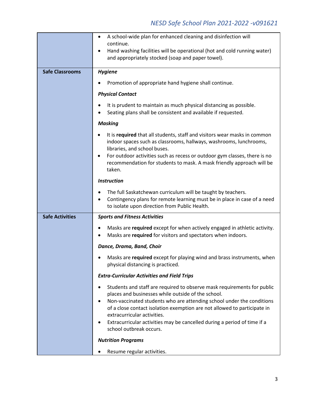|                        | A school-wide plan for enhanced cleaning and disinfection will<br>$\bullet$                                                                                                                                                                                                                                                                                                                   |
|------------------------|-----------------------------------------------------------------------------------------------------------------------------------------------------------------------------------------------------------------------------------------------------------------------------------------------------------------------------------------------------------------------------------------------|
|                        | continue.<br>Hand washing facilities will be operational (hot and cold running water)<br>٠<br>and appropriately stocked (soap and paper towel).                                                                                                                                                                                                                                               |
| <b>Safe Classrooms</b> | <b>Hygiene</b>                                                                                                                                                                                                                                                                                                                                                                                |
|                        | Promotion of appropriate hand hygiene shall continue.                                                                                                                                                                                                                                                                                                                                         |
|                        | <b>Physical Contact</b>                                                                                                                                                                                                                                                                                                                                                                       |
|                        | It is prudent to maintain as much physical distancing as possible.<br>Seating plans shall be consistent and available if requested.                                                                                                                                                                                                                                                           |
|                        | <b>Masking</b>                                                                                                                                                                                                                                                                                                                                                                                |
|                        | It is required that all students, staff and visitors wear masks in common<br>indoor spaces such as classrooms, hallways, washrooms, lunchrooms,<br>libraries, and school buses.<br>For outdoor activities such as recess or outdoor gym classes, there is no                                                                                                                                  |
|                        | recommendation for students to mask. A mask friendly approach will be<br>taken.                                                                                                                                                                                                                                                                                                               |
|                        | <b>Instruction</b>                                                                                                                                                                                                                                                                                                                                                                            |
|                        | The full Saskatchewan curriculum will be taught by teachers.<br>Contingency plans for remote learning must be in place in case of a need<br>٠<br>to isolate upon direction from Public Health.                                                                                                                                                                                                |
| <b>Safe Activities</b> | <b>Sports and Fitness Activities</b>                                                                                                                                                                                                                                                                                                                                                          |
|                        | Masks are required except for when actively engaged in athletic activity.<br>Masks are required for visitors and spectators when indoors.                                                                                                                                                                                                                                                     |
|                        | Dance, Drama, Band, Choir                                                                                                                                                                                                                                                                                                                                                                     |
|                        | Masks are required except for playing wind and brass instruments, when<br>physical distancing is practiced.                                                                                                                                                                                                                                                                                   |
|                        | <b>Extra-Curricular Activities and Field Trips</b>                                                                                                                                                                                                                                                                                                                                            |
|                        | Students and staff are required to observe mask requirements for public<br>places and businesses while outside of the school.<br>Non-vaccinated students who are attending school under the conditions<br>of a close contact isolation exemption are not allowed to participate in<br>extracurricular activities.<br>Extracurricular activities may be cancelled during a period of time if a |
|                        | school outbreak occurs.                                                                                                                                                                                                                                                                                                                                                                       |
|                        | <b>Nutrition Programs</b>                                                                                                                                                                                                                                                                                                                                                                     |
|                        |                                                                                                                                                                                                                                                                                                                                                                                               |